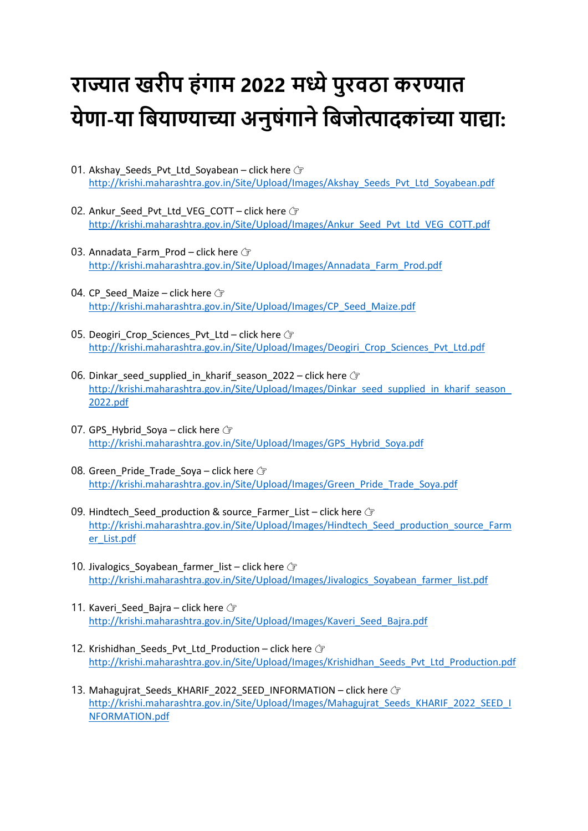## **राज्यात खरीप हंगाम 2022 मध्ये पुरवठा करण्यात येणा-या बियाण्याच्या अनुषंगाने बिजोत्पादकांच्या याद्या:**

- 01. Akshay Seeds Pvt Ltd Soyabean click here  $G$ [http://krishi.maharashtra.gov.in/Site/Upload/Images/Akshay\\_Seeds\\_Pvt\\_Ltd\\_Soyabean.pdf](http://krishi.maharashtra.gov.in/Site/Upload/Images/Akshay_Seeds_Pvt_Ltd_Soyabean.pdf)
- 02. Ankur Seed Pvt Ltd VEG COTT click here  $G$ [http://krishi.maharashtra.gov.in/Site/Upload/Images/Ankur\\_Seed\\_Pvt\\_Ltd\\_VEG\\_COTT.pdf](http://krishi.maharashtra.gov.in/Site/Upload/Images/Ankur_Seed_Pvt_Ltd_VEG_COTT.pdf)
- 03. Annadata Farm Prod click here  $G$ [http://krishi.maharashtra.gov.in/Site/Upload/Images/Annadata\\_Farm\\_Prod.pdf](http://krishi.maharashtra.gov.in/Site/Upload/Images/Annadata_Farm_Prod.pdf)
- 04. CP Seed Maize click here  $\mathbb{F}$ [http://krishi.maharashtra.gov.in/Site/Upload/Images/CP\\_Seed\\_Maize.pdf](http://krishi.maharashtra.gov.in/Site/Upload/Images/CP_Seed_Maize.pdf)
- 05. Deogiri\_Crop\_Sciences\_Pvt\_Ltd click here  $G$ [http://krishi.maharashtra.gov.in/Site/Upload/Images/Deogiri\\_Crop\\_Sciences\\_Pvt\\_Ltd.pdf](http://krishi.maharashtra.gov.in/Site/Upload/Images/Deogiri_Crop_Sciences_Pvt_Ltd.pdf)
- 06. Dinkar\_seed\_supplied\_in\_kharif\_season\_2022 click here  $\sqrt{r}$ [http://krishi.maharashtra.gov.in/Site/Upload/Images/Dinkar\\_seed\\_supplied\\_in\\_kharif\\_season\\_](http://krishi.maharashtra.gov.in/Site/Upload/Images/Dinkar_seed_supplied_in_kharif_season_2022.pdf) [2022.pdf](http://krishi.maharashtra.gov.in/Site/Upload/Images/Dinkar_seed_supplied_in_kharif_season_2022.pdf)
- 07. GPS Hybrid Soya click here  $\mathbb{F}$ [http://krishi.maharashtra.gov.in/Site/Upload/Images/GPS\\_Hybrid\\_Soya.pdf](http://krishi.maharashtra.gov.in/Site/Upload/Images/GPS_Hybrid_Soya.pdf)
- 08. Green Pride Trade Sova click here  $\sqrt{r}$ [http://krishi.maharashtra.gov.in/Site/Upload/Images/Green\\_Pride\\_Trade\\_Soya.pdf](http://krishi.maharashtra.gov.in/Site/Upload/Images/Green_Pride_Trade_Soya.pdf)
- 09. Hindtech Seed production & source Farmer List click here  $G$ [http://krishi.maharashtra.gov.in/Site/Upload/Images/Hindtech\\_Seed\\_production\\_source\\_Farm](http://krishi.maharashtra.gov.in/Site/Upload/Images/Hindtech_Seed_production_source_Farmer_List.pdf) [er\\_List.pdf](http://krishi.maharashtra.gov.in/Site/Upload/Images/Hindtech_Seed_production_source_Farmer_List.pdf)
- 10. Jivalogics Soyabean farmer list click here  $\mathbb{F}$ [http://krishi.maharashtra.gov.in/Site/Upload/Images/Jivalogics\\_Soyabean\\_farmer\\_list.pdf](http://krishi.maharashtra.gov.in/Site/Upload/Images/Jivalogics_Soyabean_farmer_list.pdf)
- 11. Kaveri Seed Bajra click here  $\mathcal{F}$ [http://krishi.maharashtra.gov.in/Site/Upload/Images/Kaveri\\_Seed\\_Bajra.pdf](http://krishi.maharashtra.gov.in/Site/Upload/Images/Kaveri_Seed_Bajra.pdf)
- 12. Krishidhan\_Seeds\_Pvt\_Ltd\_Production click here  $G$ [http://krishi.maharashtra.gov.in/Site/Upload/Images/Krishidhan\\_Seeds\\_Pvt\\_Ltd\\_Production.pdf](http://krishi.maharashtra.gov.in/Site/Upload/Images/Krishidhan_Seeds_Pvt_Ltd_Production.pdf)
- 13. Mahagujrat Seeds KHARIF 2022 SEED INFORMATION click here  $G$ [http://krishi.maharashtra.gov.in/Site/Upload/Images/Mahagujrat\\_Seeds\\_KHARIF\\_2022\\_SEED\\_I](http://krishi.maharashtra.gov.in/Site/Upload/Images/Mahagujrat_Seeds_KHARIF_2022_SEED_INFORMATION.pdf) [NFORMATION.pdf](http://krishi.maharashtra.gov.in/Site/Upload/Images/Mahagujrat_Seeds_KHARIF_2022_SEED_INFORMATION.pdf)